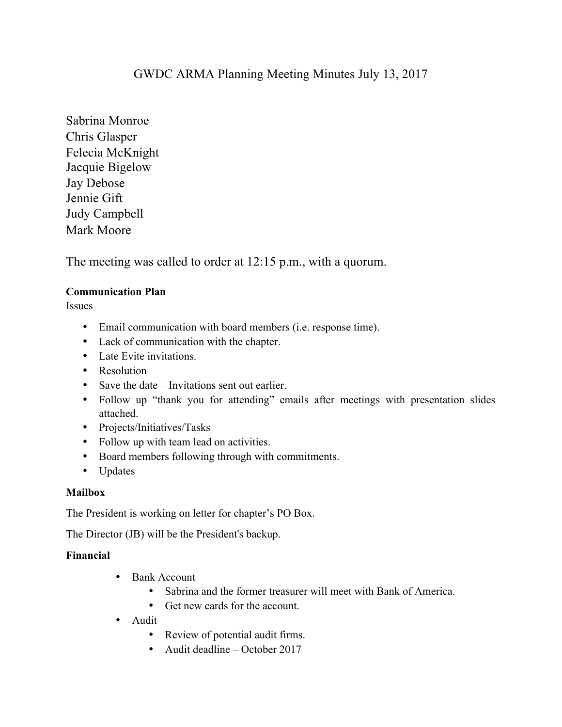# GWDC ARMA Planning Meeting Minutes July 13, 2017

Sabrina Monroe Chris Glasper Felecia McKnight Jacquie Bigelow Jay Debose Jennie Gift Judy Campbell Mark Moore

The meeting was called to order at 12:15 p.m., with a quorum.

### **Communication Plan**

Issues

- Email communication with board members (i.e. response time).
- Lack of communication with the chapter.
- Late Evite invitations.
- Resolution
- Save the date Invitations sent out earlier.
- Follow up "thank you for attending" emails after meetings with presentation slides attached.
- Projects/Initiatives/Tasks
- Follow up with team lead on activities.
- Board members following through with commitments.
- Updates

## **Mailbox**

The President is working on letter for chapter's PO Box.

The Director (JB) will be the President's backup.

### **Financial**

- Bank Account
	- Sabrina and the former treasurer will meet with Bank of America.
	- Get new cards for the account.
- Audit
	- Review of potential audit firms.
	- Audit deadline October 2017